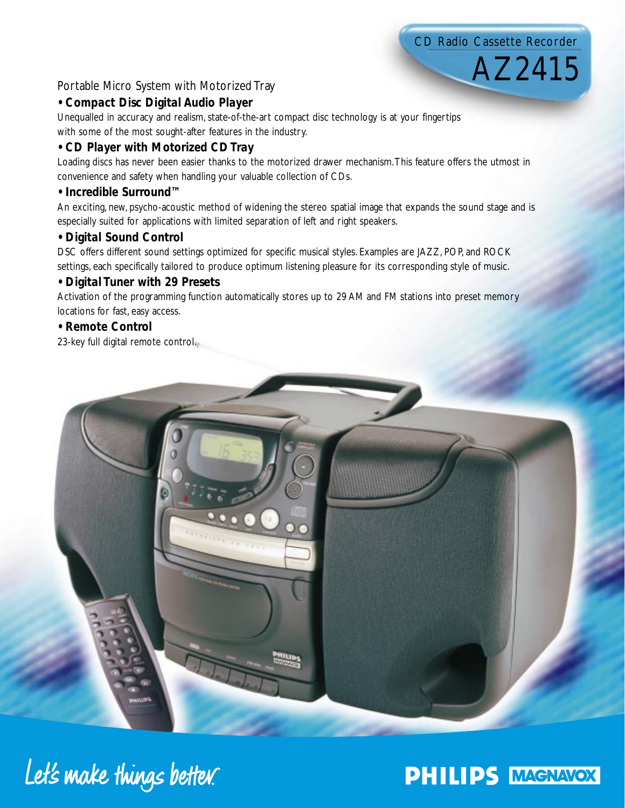# CD Radio Cassette Recorder

AZ2415

# Portable Micro System with Motorized Tray

# *• Compact Disc Digital Audio Player*

Unequalled in accuracy and realism, state-of-the-art compact disc technology is at your fingertips

with some of the most sought-after features in the industry.

# *• CD Player with Motorized CD Tray*

Loading discs has never been easier thanks to the motorized drawer mechanism.This feature offers the utmost in convenience and safety when handling your valuable collection of CDs.

## *• Incredible Surround™*

An exciting, new, psycho-acoustic method of widening the stereo spatial image that expands the sound stage and is especially suited for applications with limited separation of left and right speakers.

# *• Digital Sound Control*

DSC offers different sound settings optimized for specific musical styles. Examples are JAZZ, POP, and ROCK settings, each specifically tailored to produce optimum listening pleasure for its corresponding style of music.

# *• Digital Tuner with 29 Presets*

Activation of the programming function automatically stores up to 29 AM and FM stations into preset memory locations for fast, easy access.

# *• Remote Control*

23-key full digital remote control.



Let's make things better.